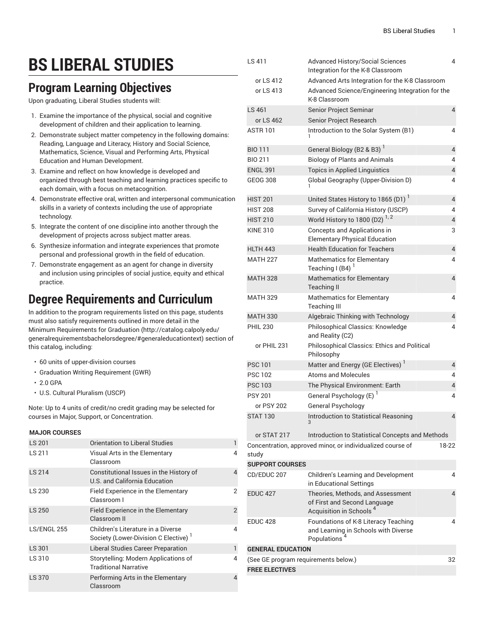# **BS LIBERAL STUDIES**

#### **Program Learning Objectives**

Upon graduating, Liberal Studies students will:

- 1. Examine the importance of the physical, social and cognitive development of children and their application to learning.
- 2. Demonstrate subject matter competency in the following domains: Reading, Language and Literacy, History and Social Science, Mathematics, Science, Visual and Performing Arts, Physical Education and Human Development.
- 3. Examine and reflect on how knowledge is developed and organized through best teaching and learning practices specific to each domain, with a focus on metacognition.
- 4. Demonstrate effective oral, written and interpersonal communication skills in a variety of contexts including the use of appropriate technology.
- 5. Integrate the content of one discipline into another through the development of projects across subject matter areas.
- 6. Synthesize information and integrate experiences that promote personal and professional growth in the field of education.
- 7. Demonstrate engagement as an agent for change in diversity and inclusion using principles of social justice, equity and ethical practice.

### **Degree Requirements and Curriculum**

In addition to the program requirements listed on this page, students must also satisfy requirements outlined in more detail in the Minimum [Requirements](http://catalog.calpoly.edu/generalrequirementsbachelorsdegree/#generaleducationtext) for Graduation ([http://catalog.calpoly.edu/](http://catalog.calpoly.edu/generalrequirementsbachelorsdegree/#generaleducationtext) [generalrequirementsbachelorsdegree/#generaleducationtext\)](http://catalog.calpoly.edu/generalrequirementsbachelorsdegree/#generaleducationtext) section of this catalog, including:

- 60 units of upper-division courses
- Graduation Writing Requirement (GWR)
- 2.0 GPA
- U.S. Cultural Pluralism (USCP)

Note: Up to 4 units of credit/no credit grading may be selected for courses in Major, Support, or Concentration.

#### **MAJOR COURSES**

| <b>LS 201</b> | <b>Orientation to Liberal Studies</b>                                                  |                |
|---------------|----------------------------------------------------------------------------------------|----------------|
| LS 211        | Visual Arts in the Elementary<br>Classroom                                             | 4              |
| LS 214        | Constitutional Issues in the History of<br>U.S. and California Education               | 4              |
| LS 230        | Field Experience in the Elementary<br>Classroom I                                      | 2              |
| <b>LS 250</b> | Field Experience in the Elementary<br>Classroom II                                     | $\overline{2}$ |
| LS/ENGL 255   | Children's Literature in a Diverse<br>Society (Lower-Division C Elective) <sup>1</sup> | 4              |
| LS 301        | <b>Liberal Studies Career Preparation</b>                                              | 1              |
| LS 310        | Storytelling: Modern Applications of<br><b>Traditional Narrative</b>                   | 4              |
| LS 370        | Performing Arts in the Elementary<br>Classroom                                         | 4              |

| LS 411                               | <b>Advanced History/Social Sciences</b><br>Integration for the K-8 Classroom                             | 4              |
|--------------------------------------|----------------------------------------------------------------------------------------------------------|----------------|
| or LS 412                            | Advanced Arts Integration for the K-8 Classroom                                                          |                |
| or LS 413                            | Advanced Science/Engineering Integration for the                                                         |                |
|                                      | K-8 Classroom                                                                                            |                |
| LS 461                               | <b>Senior Project Seminar</b>                                                                            | 4              |
| or LS 462                            | Senior Project Research                                                                                  |                |
| <b>ASTR 101</b>                      | Introduction to the Solar System (B1)                                                                    | 4              |
| <b>BIO 111</b>                       | General Biology (B2 & B3)                                                                                | 4              |
| <b>BIO 211</b>                       | <b>Biology of Plants and Animals</b>                                                                     | 4              |
| <b>ENGL 391</b>                      | <b>Topics in Applied Linguistics</b>                                                                     | 4              |
| <b>GEOG 308</b>                      | Global Geography (Upper-Division D)                                                                      | 4              |
| <b>HIST 201</b>                      | United States History to 1865 (D1) <sup>1</sup>                                                          | 4              |
| <b>HIST 208</b>                      | Survey of California History (USCP)                                                                      | 4              |
| <b>HIST 210</b>                      | World History to 1800 (D2) <sup>1,2</sup>                                                                | 4              |
| <b>KINE 310</b>                      | Concepts and Applications in                                                                             | 3              |
|                                      | <b>Elementary Physical Education</b>                                                                     |                |
| <b>HLTH 443</b>                      | <b>Health Education for Teachers</b>                                                                     | $\overline{4}$ |
| <b>MATH 227</b>                      | Mathematics for Elementary<br>Teaching I (B4) $1$                                                        | 4              |
| <b>MATH 328</b>                      | <b>Mathematics for Elementary</b><br><b>Teaching II</b>                                                  | $\overline{4}$ |
| <b>MATH 329</b>                      | Mathematics for Elementary<br><b>Teaching III</b>                                                        | 4              |
| <b>MATH 330</b>                      | Algebraic Thinking with Technology                                                                       | $\overline{4}$ |
| <b>PHIL 230</b>                      | Philosophical Classics: Knowledge<br>and Reality (C2)                                                    | 4              |
| or PHIL 231                          | Philosophical Classics: Ethics and Political<br>Philosophy                                               |                |
| <b>PSC 101</b>                       | Matter and Energy (GE Electives) <sup>1</sup>                                                            | 4              |
| <b>PSC 102</b>                       | <b>Atoms and Molecules</b>                                                                               | 4              |
| <b>PSC 103</b>                       | The Physical Environment: Earth                                                                          | 4              |
| <b>PSY 201</b>                       | General Psychology (E)                                                                                   | 4              |
| or PSY 202                           | General Psychology                                                                                       |                |
| <b>STAT 130</b>                      | <b>Introduction to Statistical Reasoning</b>                                                             | 4              |
| or STAT 217                          | Introduction to Statistical Concepts and Methods                                                         |                |
|                                      | Concentration, approved minor, or individualized course of                                               | 18-22          |
| study<br><b>SUPPORT COURSES</b>      |                                                                                                          |                |
| CD/EDUC 207                          | <b>Children's Learning and Development</b>                                                               | 4              |
|                                      | in Educational Settings                                                                                  |                |
| <b>EDUC 427</b>                      | Theories, Methods, and Assessment<br>of First and Second Language                                        | 4              |
|                                      | Acquisition in Schools <sup>4</sup>                                                                      |                |
| <b>EDUC 428</b>                      | Foundations of K-8 Literacy Teaching<br>and Learning in Schools with Diverse<br>Populations <sup>4</sup> | 4              |
| <b>GENERAL EDUCATION</b>             |                                                                                                          |                |
| (See GE program requirements below.) |                                                                                                          | 32             |
| <b>FREE ELECTIVES</b>                |                                                                                                          |                |
|                                      |                                                                                                          |                |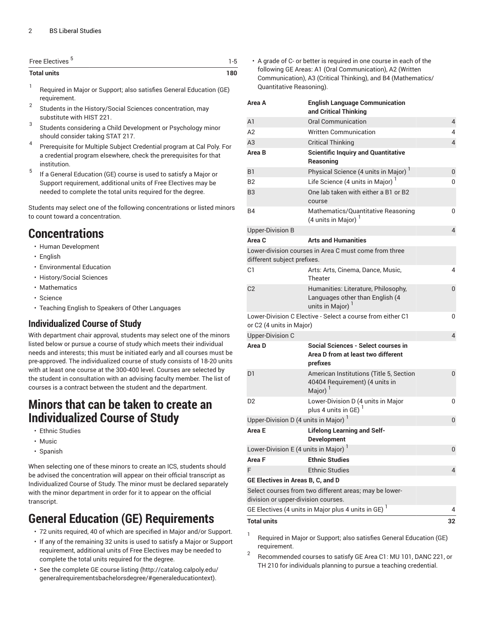| Free Electives <sup>5</sup> | 1-5 |
|-----------------------------|-----|
| <b>Total units</b>          | 180 |

- 1 Required in Major or Support; also satisfies General Education (GE) requirement.
- 2 Students in the History/Social Sciences concentration, may substitute with HIST 221.
- 3 Students considering a Child Development or Psychology minor should consider taking STAT 217.
- 4 Prerequisite for Multiple Subject Credential program at Cal Poly. For a credential program elsewhere, check the prerequisites for that institution.
- 5 If a General Education (GE) course is used to satisfy a Major or Support requirement, additional units of Free Electives may be needed to complete the total units required for the degree.

Students may select one of the following concentrations or listed minors to count toward a concentration.

#### **Concentrations**

- Human Development
- English
- Environmental Education
- History/Social Sciences
- Mathematics
- Science
- Teaching English to Speakers of Other Languages

#### **Individualized Course of Study**

With department chair approval, students may select one of the minors listed below or pursue a course of study which meets their individual needs and interests; this must be initiated early and all courses must be pre-approved. The individualized course of study consists of 18-20 units with at least one course at the 300-400 level. Courses are selected by the student in consultation with an advising faculty member. The list of courses is a contract between the student and the department.

#### **Minors that can be taken to create an Individualized Course of Study**

- Ethnic Studies
- Music
- Spanish

When selecting one of these minors to create an ICS, students should be advised the concentration will appear on their official transcript as Individualized Course of Study. The minor must be declared separately with the minor department in order for it to appear on the official transcript.

## **General Education (GE) Requirements**

- 72 units required, 40 of which are specified in Major and/or Support.
- If any of the remaining 32 units is used to satisfy a Major or Support requirement, additional units of Free Electives may be needed to complete the total units required for the degree.
- See the [complete GE course listing](http://catalog.calpoly.edu/generalrequirementsbachelorsdegree/#generaleducationtext) ([http://catalog.calpoly.edu/](http://catalog.calpoly.edu/generalrequirementsbachelorsdegree/#generaleducationtext) [generalrequirementsbachelorsdegree/#generaleducationtext\)](http://catalog.calpoly.edu/generalrequirementsbachelorsdegree/#generaleducationtext).

• A grade of C- or better is required in one course in each of the following GE Areas: A1 (Oral Communication), A2 (Written Communication), A3 (Critical Thinking), and B4 (Mathematics/ Quantitative Reasoning).

| Area A                                                                                        | <b>English Language Communication</b><br>and Critical Thinking                                   |                |  |
|-----------------------------------------------------------------------------------------------|--------------------------------------------------------------------------------------------------|----------------|--|
| A <sub>1</sub>                                                                                | Oral Communication                                                                               | $\overline{4}$ |  |
| A2                                                                                            | <b>Written Communication</b>                                                                     | 4              |  |
| A3                                                                                            | <b>Critical Thinking</b>                                                                         | $\overline{4}$ |  |
| Area B                                                                                        | <b>Scientific Inquiry and Quantitative</b><br>Reasoning                                          |                |  |
| <b>B1</b>                                                                                     | Physical Science (4 units in Major) <sup>1</sup>                                                 | 0              |  |
| B <sub>2</sub>                                                                                | Life Science (4 units in Major)                                                                  | 0              |  |
| B <sub>3</sub>                                                                                | One lab taken with either a B1 or B2<br>course                                                   |                |  |
| B4                                                                                            | Mathematics/Quantitative Reasoning<br>(4 units in Major) $1$                                     | 0              |  |
| <b>Upper-Division B</b>                                                                       |                                                                                                  | $\overline{4}$ |  |
| Area C                                                                                        | <b>Arts and Humanities</b>                                                                       |                |  |
| Lower-division courses in Area C must come from three<br>different subject prefixes.          |                                                                                                  |                |  |
| C <sub>1</sub>                                                                                | Arts: Arts, Cinema, Dance, Music,<br>Theater                                                     | 4              |  |
| C <sub>2</sub>                                                                                | Humanities: Literature, Philosophy,<br>Languages other than English (4<br>units in Major)        | 0              |  |
| Lower-Division C Elective - Select a course from either C1<br>or C2 (4 units in Major)        |                                                                                                  | 0              |  |
| <b>Upper-Division C</b>                                                                       |                                                                                                  | $\overline{4}$ |  |
| Area D                                                                                        | Social Sciences - Select courses in<br>Area D from at least two different<br>prefixes            |                |  |
| D1                                                                                            | American Institutions (Title 5, Section<br>40404 Requirement) (4 units in<br>Major) <sup>1</sup> | $\overline{0}$ |  |
| D <sub>2</sub>                                                                                | Lower-Division D (4 units in Major<br>plus 4 units in GE)                                        | 0              |  |
| Upper-Division D (4 units in Major) <sup>1</sup>                                              |                                                                                                  | 0              |  |
| Area E                                                                                        | <b>Lifelong Learning and Self-</b><br><b>Development</b>                                         |                |  |
| Lower-Division E (4 units in Major) <sup>1</sup>                                              |                                                                                                  |                |  |
| Area F                                                                                        | <b>Ethnic Studies</b>                                                                            |                |  |
| F                                                                                             | <b>Ethnic Studies</b>                                                                            | 4              |  |
| GE Electives in Areas B, C, and D                                                             |                                                                                                  |                |  |
| Select courses from two different areas; may be lower-<br>division or upper-division courses. |                                                                                                  |                |  |
|                                                                                               | GE Electives (4 units in Major plus 4 units in GE) <sup>1</sup>                                  | 4              |  |
| <b>Total units</b>                                                                            |                                                                                                  | 32             |  |

1 Required in Major or Support; also satisfies General Education (GE) requirement.

2 Recommended courses to satisfy GE Area C1: MU 101, DANC 221, or TH 210 for individuals planning to pursue a teaching credential.